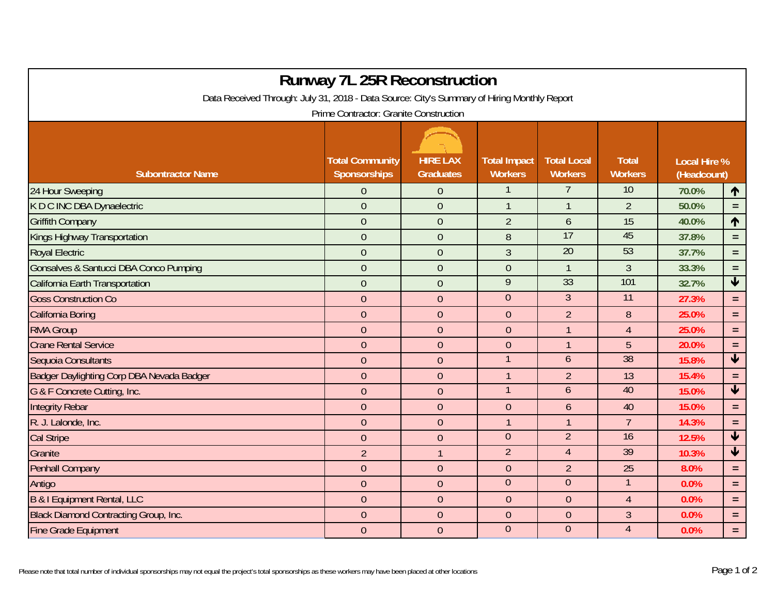| <b>Runway 7L 25R Reconstruction</b>                                                                                                   |                  |                |                |                  |                 |       |                         |  |  |  |  |  |
|---------------------------------------------------------------------------------------------------------------------------------------|------------------|----------------|----------------|------------------|-----------------|-------|-------------------------|--|--|--|--|--|
| Data Received Through: July 31, 2018 - Data Source: City's Summary of Hiring Monthly Report<br>Prime Contractor: Granite Construction |                  |                |                |                  |                 |       |                         |  |  |  |  |  |
|                                                                                                                                       |                  |                |                |                  |                 |       |                         |  |  |  |  |  |
| 24 Hour Sweeping                                                                                                                      | $\overline{0}$   | $\mathbf{0}$   |                | 7                | 10              | 70.0% | 1                       |  |  |  |  |  |
| K D C INC DBA Dynaelectric                                                                                                            | $\overline{0}$   | $\overline{0}$ | $\mathbf{1}$   | $\overline{1}$   | $\overline{2}$  | 50.0% | $=$                     |  |  |  |  |  |
| <b>Griffith Company</b>                                                                                                               | $\mathbf{0}$     | $\mathbf{0}$   | $\overline{2}$ | $\mathfrak b$    | 15              | 40.0% | 1                       |  |  |  |  |  |
| Kings Highway Transportation                                                                                                          | $\overline{0}$   | $\overline{0}$ | 8              | 17               | 45              | 37.8% | $\equiv$                |  |  |  |  |  |
| <b>Royal Electric</b>                                                                                                                 | $\overline{0}$   | $\overline{0}$ | 3              | $\overline{20}$  | 53              | 37.7% | $\equiv$                |  |  |  |  |  |
| Gonsalves & Santucci DBA Conco Pumping                                                                                                | $\overline{0}$   | $\overline{0}$ | $\overline{0}$ | $\mathbf{1}$     | $\mathfrak{Z}$  | 33.3% | $\equiv$                |  |  |  |  |  |
| California Earth Transportation                                                                                                       | $\overline{0}$   | $\overline{0}$ | 9              | 33               | 101             | 32.7% | $\blacklozenge$         |  |  |  |  |  |
| <b>Goss Construction Co</b>                                                                                                           | $\overline{0}$   | $\overline{0}$ | $\mathbf{0}$   | $\overline{3}$   | $\overline{11}$ | 27.3% | $\equiv$                |  |  |  |  |  |
| California Boring                                                                                                                     | $\overline{0}$   | $\overline{0}$ | $\overline{0}$ | $\overline{2}$   | 8               | 25.0% | $=$                     |  |  |  |  |  |
| <b>RMA Group</b>                                                                                                                      | $\overline{0}$   | $\overline{0}$ | $\overline{0}$ | $\mathbf{1}$     | $\overline{4}$  | 25.0% | $=$                     |  |  |  |  |  |
| <b>Crane Rental Service</b>                                                                                                           | $\theta$         | $\mathbf{0}$   | $\overline{0}$ | $\overline{1}$   | 5               | 20.0% | $\equiv$                |  |  |  |  |  |
| Sequoia Consultants                                                                                                                   | $\theta$         | $\overline{0}$ |                | $\boldsymbol{6}$ | 38              | 15.8% | $\overline{\mathbf{V}}$ |  |  |  |  |  |
| Badger Daylighting Corp DBA Nevada Badger                                                                                             | $\overline{0}$   | $\overline{0}$ | $\mathbf{1}$   | $\overline{2}$   | 13              | 15.4% | $\equiv$                |  |  |  |  |  |
| G & F Concrete Cutting, Inc.                                                                                                          | $\overline{0}$   | $\overline{0}$ |                | $\mathfrak b$    | 40              | 15.0% | $\blacktriangledown$    |  |  |  |  |  |
| <b>Integrity Rebar</b>                                                                                                                | $\overline{0}$   | $\overline{0}$ | $\overline{0}$ | $\mathfrak b$    | 40              | 15.0% | $\equiv$                |  |  |  |  |  |
| R. J. Lalonde, Inc.                                                                                                                   | $\mathbf{0}$     | $\overline{0}$ | 1              | $\overline{1}$   | $\overline{7}$  | 14.3% | $\equiv$                |  |  |  |  |  |
| <b>Cal Stripe</b>                                                                                                                     | $\overline{0}$   | $\overline{0}$ | $\overline{0}$ | $\overline{2}$   | 16              | 12.5% | $\blacklozenge$         |  |  |  |  |  |
| Granite                                                                                                                               | $\overline{2}$   |                | $\overline{2}$ | $\overline{4}$   | 39              | 10.3% | $\blacklozenge$         |  |  |  |  |  |
| Penhall Company                                                                                                                       | $\overline{0}$   | $\overline{0}$ | $\overline{0}$ | $\overline{2}$   | 25              | 8.0%  | $\equiv$                |  |  |  |  |  |
| Antigo                                                                                                                                | $\boldsymbol{0}$ | $\theta$       | $\overline{0}$ | $\overline{0}$   | $\mathbf{1}$    | 0.0%  | $\equiv$                |  |  |  |  |  |
| B & I Equipment Rental, LLC                                                                                                           | $\boldsymbol{0}$ | $\overline{0}$ | $\overline{0}$ | $\boldsymbol{0}$ | $\overline{4}$  | 0.0%  | $\equiv$                |  |  |  |  |  |
| Black Diamond Contracting Group, Inc.                                                                                                 | $\overline{0}$   | $\overline{0}$ | $\overline{0}$ | $\boldsymbol{0}$ | $\mathfrak{Z}$  | 0.0%  | $\equiv$                |  |  |  |  |  |
| <b>Fine Grade Equipment</b>                                                                                                           | $\overline{0}$   | $\overline{0}$ | $\overline{0}$ | $\overline{0}$   | $\overline{4}$  | 0.0%  | $\equiv$                |  |  |  |  |  |